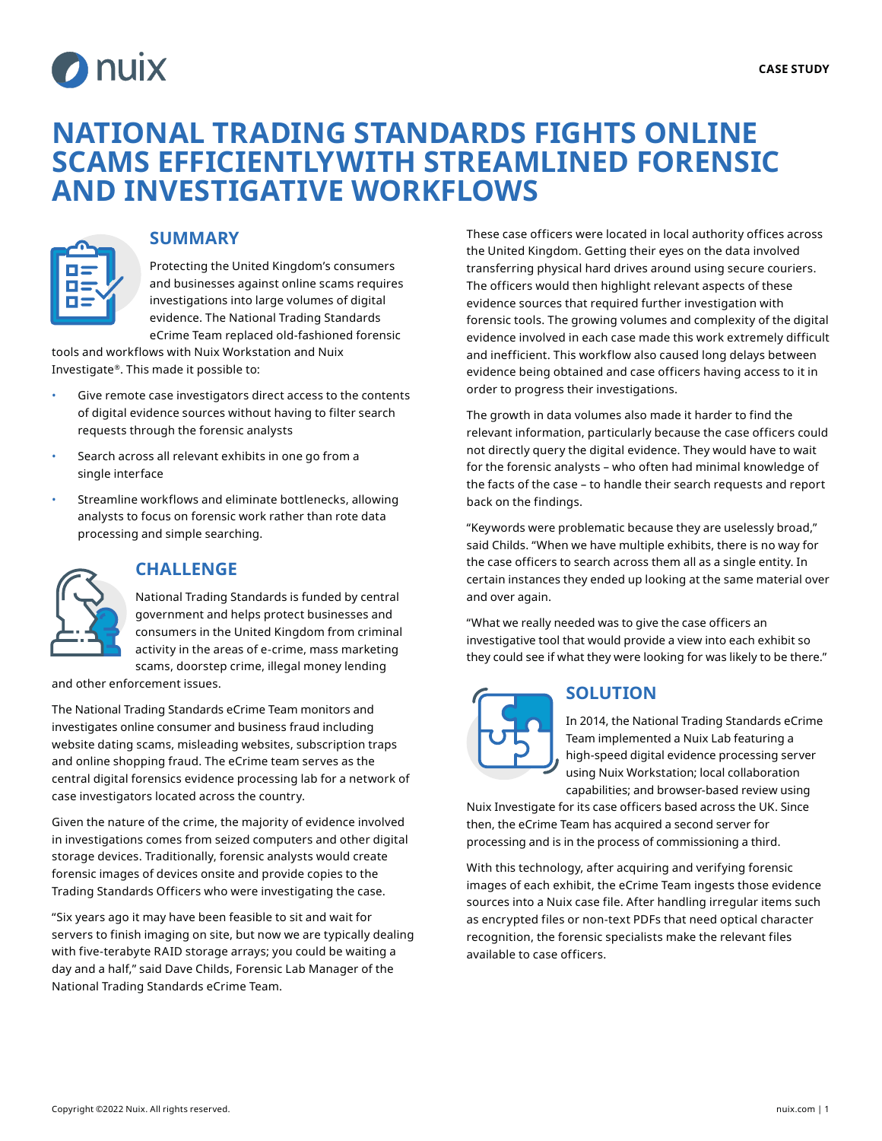

# **NATIONAL TRADING STANDARDS FIGHTS ONLINE SCAMS EFFICIENTLYWITH STREAMLINED FORENSIC AND INVESTIGATIVE WORKFLOWS**



### **SUMMARY**

Protecting the United Kingdom's consumers and businesses against online scams requires investigations into large volumes of digital evidence. The National Trading Standards eCrime Team replaced old-fashioned forensic

tools and workflows with Nuix Workstation and Nuix Investigate®. This made it possible to:

- Give remote case investigators direct access to the contents of digital evidence sources without having to filter search requests through the forensic analysts
- Search across all relevant exhibits in one go from a single interface
- Streamline workflows and eliminate bottlenecks, allowing analysts to focus on forensic work rather than rote data processing and simple searching.



### **CHALLENGE**

National Trading Standards is funded by central government and helps protect businesses and consumers in the United Kingdom from criminal activity in the areas of e-crime, mass marketing scams, doorstep crime, illegal money lending

and other enforcement issues.

The National Trading Standards eCrime Team monitors and investigates online consumer and business fraud including website dating scams, misleading websites, subscription traps and online shopping fraud. The eCrime team serves as the central digital forensics evidence processing lab for a network of case investigators located across the country.

Given the nature of the crime, the majority of evidence involved in investigations comes from seized computers and other digital storage devices. Traditionally, forensic analysts would create forensic images of devices onsite and provide copies to the Trading Standards Officers who were investigating the case.

"Six years ago it may have been feasible to sit and wait for servers to finish imaging on site, but now we are typically dealing with five-terabyte RAID storage arrays; you could be waiting a day and a half," said Dave Childs, Forensic Lab Manager of the National Trading Standards eCrime Team.

These case officers were located in local authority offices across the United Kingdom. Getting their eyes on the data involved transferring physical hard drives around using secure couriers. The officers would then highlight relevant aspects of these evidence sources that required further investigation with forensic tools. The growing volumes and complexity of the digital evidence involved in each case made this work extremely difficult and inefficient. This workflow also caused long delays between evidence being obtained and case officers having access to it in order to progress their investigations.

The growth in data volumes also made it harder to find the relevant information, particularly because the case officers could not directly query the digital evidence. They would have to wait for the forensic analysts – who often had minimal knowledge of the facts of the case – to handle their search requests and report back on the findings.

"Keywords were problematic because they are uselessly broad," said Childs. "When we have multiple exhibits, there is no way for the case officers to search across them all as a single entity. In certain instances they ended up looking at the same material over and over again.

"What we really needed was to give the case officers an investigative tool that would provide a view into each exhibit so they could see if what they were looking for was likely to be there."



## **SOLUTION**

In 2014, the National Trading Standards eCrime Team implemented a Nuix Lab featuring a high-speed digital evidence processing server using Nuix Workstation; local collaboration capabilities; and browser-based review using

Nuix Investigate for its case officers based across the UK. Since then, the eCrime Team has acquired a second server for processing and is in the process of commissioning a third.

With this technology, after acquiring and verifying forensic images of each exhibit, the eCrime Team ingests those evidence sources into a Nuix case file. After handling irregular items such as encrypted files or non-text PDFs that need optical character recognition, the forensic specialists make the relevant files available to case officers.